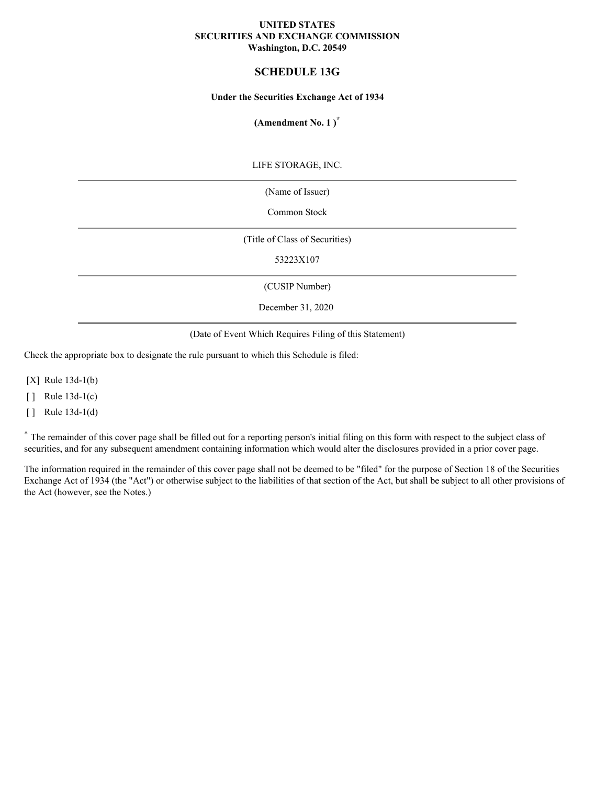### **UNITED STATES SECURITIES AND EXCHANGE COMMISSION Washington, D.C. 20549**

# **SCHEDULE 13G**

### **Under the Securities Exchange Act of 1934**

## **(Amendment No. 1 ) \***

LIFE STORAGE, INC.

(Name of Issuer)

Common Stock

(Title of Class of Securities)

53223X107

(CUSIP Number)

December 31, 2020

(Date of Event Which Requires Filing of this Statement)

Check the appropriate box to designate the rule pursuant to which this Schedule is filed:

[X] Rule 13d-1(b)

 $\lceil \cdot \rceil$  Rule 13d-1(c)

 $\lceil \cdot \rceil$  Rule 13d-1(d)

\* The remainder of this cover page shall be filled out for a reporting person's initial filing on this form with respect to the subject class of securities, and for any subsequent amendment containing information which would alter the disclosures provided in a prior cover page.

The information required in the remainder of this cover page shall not be deemed to be "filed" for the purpose of Section 18 of the Securities Exchange Act of 1934 (the "Act") or otherwise subject to the liabilities of that section of the Act, but shall be subject to all other provisions of the Act (however, see the Notes.)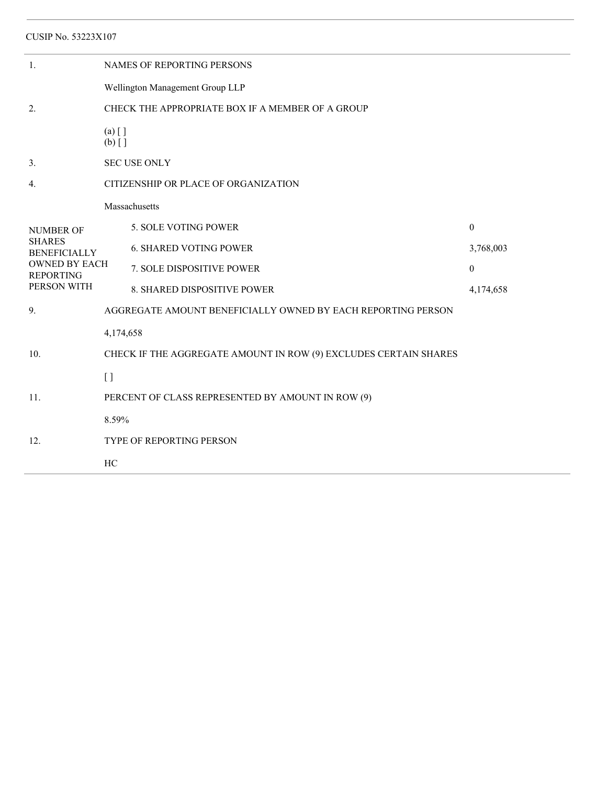| <b>CUSIP No. 53223X107</b>                                                                                          |                                                                  |                                      |                  |  |  |  |
|---------------------------------------------------------------------------------------------------------------------|------------------------------------------------------------------|--------------------------------------|------------------|--|--|--|
| 1.                                                                                                                  | NAMES OF REPORTING PERSONS                                       |                                      |                  |  |  |  |
|                                                                                                                     | Wellington Management Group LLP                                  |                                      |                  |  |  |  |
| 2.                                                                                                                  | CHECK THE APPROPRIATE BOX IF A MEMBER OF A GROUP                 |                                      |                  |  |  |  |
|                                                                                                                     | $(a)$ []<br>$(b)$ []                                             |                                      |                  |  |  |  |
| 3.                                                                                                                  | <b>SEC USE ONLY</b>                                              |                                      |                  |  |  |  |
| 4.                                                                                                                  |                                                                  | CITIZENSHIP OR PLACE OF ORGANIZATION |                  |  |  |  |
|                                                                                                                     |                                                                  | Massachusetts                        |                  |  |  |  |
| <b>NUMBER OF</b><br><b>SHARES</b><br><b>BENEFICIALLY</b><br><b>OWNED BY EACH</b><br><b>REPORTING</b><br>PERSON WITH |                                                                  | 5. SOLE VOTING POWER                 | $\boldsymbol{0}$ |  |  |  |
|                                                                                                                     |                                                                  | <b>6. SHARED VOTING POWER</b>        | 3,768,003        |  |  |  |
|                                                                                                                     |                                                                  | 7. SOLE DISPOSITIVE POWER            | $\theta$         |  |  |  |
|                                                                                                                     |                                                                  | 8. SHARED DISPOSITIVE POWER          | 4,174,658        |  |  |  |
| 9.                                                                                                                  | AGGREGATE AMOUNT BENEFICIALLY OWNED BY EACH REPORTING PERSON     |                                      |                  |  |  |  |
|                                                                                                                     | 4,174,658                                                        |                                      |                  |  |  |  |
| 10.                                                                                                                 | CHECK IF THE AGGREGATE AMOUNT IN ROW (9) EXCLUDES CERTAIN SHARES |                                      |                  |  |  |  |
|                                                                                                                     | [ ]                                                              |                                      |                  |  |  |  |
| 11.                                                                                                                 | PERCENT OF CLASS REPRESENTED BY AMOUNT IN ROW (9)                |                                      |                  |  |  |  |
|                                                                                                                     | 8.59%                                                            |                                      |                  |  |  |  |
| 12.                                                                                                                 | <b>TYPE OF REPORTING PERSON</b>                                  |                                      |                  |  |  |  |
|                                                                                                                     | HC                                                               |                                      |                  |  |  |  |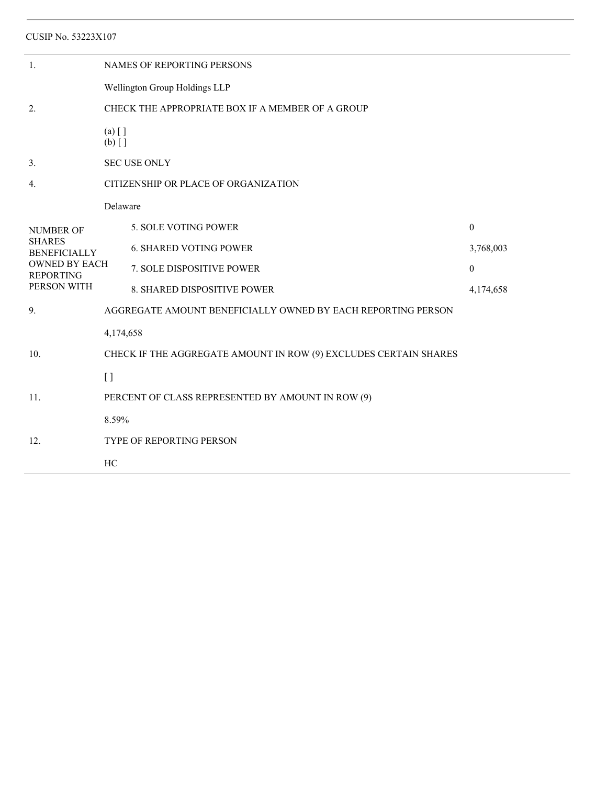| <b>CUSIP No. 53223X107</b>                                                                                          |                                                                  |                                      |                  |  |  |  |
|---------------------------------------------------------------------------------------------------------------------|------------------------------------------------------------------|--------------------------------------|------------------|--|--|--|
| 1.                                                                                                                  | NAMES OF REPORTING PERSONS                                       |                                      |                  |  |  |  |
|                                                                                                                     | Wellington Group Holdings LLP                                    |                                      |                  |  |  |  |
| 2.                                                                                                                  | CHECK THE APPROPRIATE BOX IF A MEMBER OF A GROUP                 |                                      |                  |  |  |  |
|                                                                                                                     | $(a)$ []<br>$(b)$ []                                             |                                      |                  |  |  |  |
| 3.                                                                                                                  | <b>SEC USE ONLY</b>                                              |                                      |                  |  |  |  |
| 4.                                                                                                                  |                                                                  | CITIZENSHIP OR PLACE OF ORGANIZATION |                  |  |  |  |
|                                                                                                                     | Delaware                                                         |                                      |                  |  |  |  |
| <b>NUMBER OF</b><br><b>SHARES</b><br><b>BENEFICIALLY</b><br><b>OWNED BY EACH</b><br><b>REPORTING</b><br>PERSON WITH |                                                                  | 5. SOLE VOTING POWER                 | $\boldsymbol{0}$ |  |  |  |
|                                                                                                                     |                                                                  | <b>6. SHARED VOTING POWER</b>        | 3,768,003        |  |  |  |
|                                                                                                                     |                                                                  | <b>7. SOLE DISPOSITIVE POWER</b>     | $\theta$         |  |  |  |
|                                                                                                                     |                                                                  | 8. SHARED DISPOSITIVE POWER          | 4,174,658        |  |  |  |
| 9.                                                                                                                  | AGGREGATE AMOUNT BENEFICIALLY OWNED BY EACH REPORTING PERSON     |                                      |                  |  |  |  |
|                                                                                                                     | 4,174,658                                                        |                                      |                  |  |  |  |
| 10.                                                                                                                 | CHECK IF THE AGGREGATE AMOUNT IN ROW (9) EXCLUDES CERTAIN SHARES |                                      |                  |  |  |  |
|                                                                                                                     | $\left[ \ \right]$                                               |                                      |                  |  |  |  |
| 11.                                                                                                                 | PERCENT OF CLASS REPRESENTED BY AMOUNT IN ROW (9)                |                                      |                  |  |  |  |
|                                                                                                                     | 8.59%                                                            |                                      |                  |  |  |  |
| 12.                                                                                                                 | TYPE OF REPORTING PERSON                                         |                                      |                  |  |  |  |
|                                                                                                                     | HC                                                               |                                      |                  |  |  |  |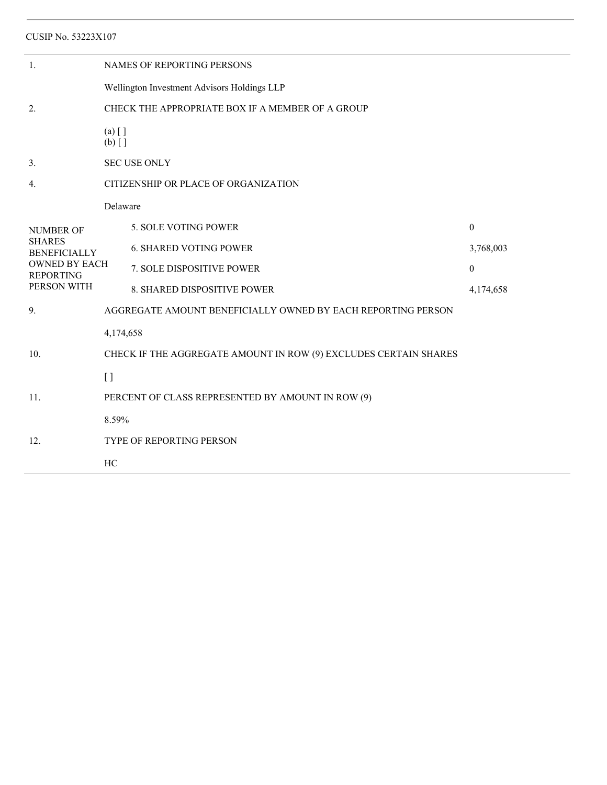| CUSIP No. 53223X107                                                                                                 |                                                                  |                                                              |                  |  |  |  |
|---------------------------------------------------------------------------------------------------------------------|------------------------------------------------------------------|--------------------------------------------------------------|------------------|--|--|--|
| 1.                                                                                                                  |                                                                  | NAMES OF REPORTING PERSONS                                   |                  |  |  |  |
|                                                                                                                     | Wellington Investment Advisors Holdings LLP                      |                                                              |                  |  |  |  |
| 2.                                                                                                                  | CHECK THE APPROPRIATE BOX IF A MEMBER OF A GROUP                 |                                                              |                  |  |  |  |
|                                                                                                                     | $(a)$ []<br>$(b)$ []                                             |                                                              |                  |  |  |  |
| 3.                                                                                                                  |                                                                  | <b>SEC USE ONLY</b>                                          |                  |  |  |  |
| 4.                                                                                                                  | CITIZENSHIP OR PLACE OF ORGANIZATION                             |                                                              |                  |  |  |  |
|                                                                                                                     | Delaware                                                         |                                                              |                  |  |  |  |
| <b>NUMBER OF</b><br><b>SHARES</b><br><b>BENEFICIALLY</b><br><b>OWNED BY EACH</b><br><b>REPORTING</b><br>PERSON WITH |                                                                  | 5. SOLE VOTING POWER                                         | $\mathbf{0}$     |  |  |  |
|                                                                                                                     |                                                                  | <b>6. SHARED VOTING POWER</b>                                | 3,768,003        |  |  |  |
|                                                                                                                     |                                                                  | 7. SOLE DISPOSITIVE POWER                                    | $\boldsymbol{0}$ |  |  |  |
|                                                                                                                     |                                                                  | 8. SHARED DISPOSITIVE POWER                                  | 4,174,658        |  |  |  |
| 9.                                                                                                                  |                                                                  | AGGREGATE AMOUNT BENEFICIALLY OWNED BY EACH REPORTING PERSON |                  |  |  |  |
|                                                                                                                     | 4,174,658                                                        |                                                              |                  |  |  |  |
| 10.                                                                                                                 | CHECK IF THE AGGREGATE AMOUNT IN ROW (9) EXCLUDES CERTAIN SHARES |                                                              |                  |  |  |  |
|                                                                                                                     | $[ \ ]$                                                          |                                                              |                  |  |  |  |
| 11.                                                                                                                 | PERCENT OF CLASS REPRESENTED BY AMOUNT IN ROW (9)                |                                                              |                  |  |  |  |
|                                                                                                                     | 8.59%                                                            |                                                              |                  |  |  |  |
| 12.                                                                                                                 | TYPE OF REPORTING PERSON                                         |                                                              |                  |  |  |  |
|                                                                                                                     | HC                                                               |                                                              |                  |  |  |  |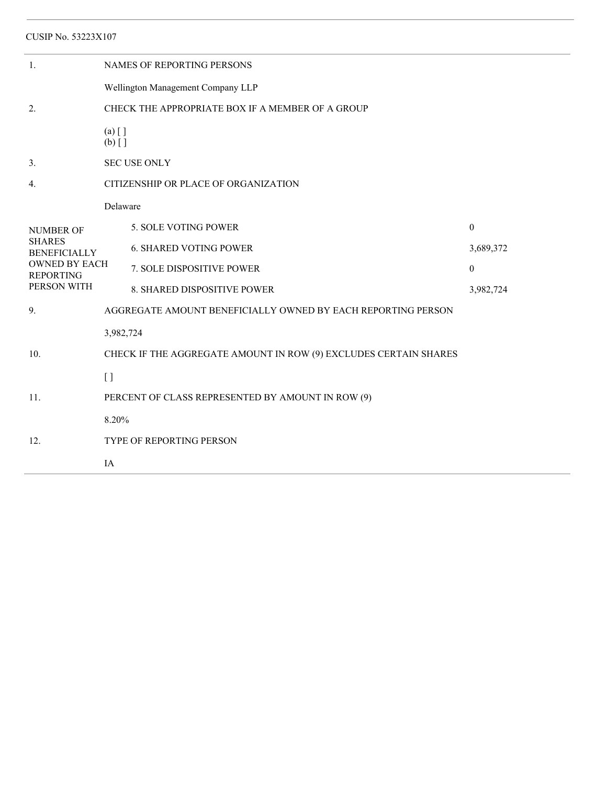| CUSIP No. 53223X107                                                                                                 |                                                                  |                                                              |                  |  |  |  |
|---------------------------------------------------------------------------------------------------------------------|------------------------------------------------------------------|--------------------------------------------------------------|------------------|--|--|--|
| 1.                                                                                                                  | NAMES OF REPORTING PERSONS                                       |                                                              |                  |  |  |  |
|                                                                                                                     | Wellington Management Company LLP                                |                                                              |                  |  |  |  |
| 2.                                                                                                                  | CHECK THE APPROPRIATE BOX IF A MEMBER OF A GROUP                 |                                                              |                  |  |  |  |
|                                                                                                                     | $(a)$ []<br>$(b)$ []                                             |                                                              |                  |  |  |  |
| 3.                                                                                                                  | <b>SEC USE ONLY</b>                                              |                                                              |                  |  |  |  |
| $\overline{4}$ .                                                                                                    |                                                                  | CITIZENSHIP OR PLACE OF ORGANIZATION                         |                  |  |  |  |
|                                                                                                                     | Delaware                                                         |                                                              |                  |  |  |  |
| <b>NUMBER OF</b><br><b>SHARES</b><br><b>BENEFICIALLY</b><br><b>OWNED BY EACH</b><br><b>REPORTING</b><br>PERSON WITH |                                                                  | 5. SOLE VOTING POWER                                         | $\mathbf{0}$     |  |  |  |
|                                                                                                                     |                                                                  | <b>6. SHARED VOTING POWER</b>                                | 3,689,372        |  |  |  |
|                                                                                                                     |                                                                  | 7. SOLE DISPOSITIVE POWER                                    | $\boldsymbol{0}$ |  |  |  |
|                                                                                                                     |                                                                  | 8. SHARED DISPOSITIVE POWER                                  | 3,982,724        |  |  |  |
| 9.                                                                                                                  |                                                                  | AGGREGATE AMOUNT BENEFICIALLY OWNED BY EACH REPORTING PERSON |                  |  |  |  |
|                                                                                                                     | 3,982,724                                                        |                                                              |                  |  |  |  |
| 10.                                                                                                                 | CHECK IF THE AGGREGATE AMOUNT IN ROW (9) EXCLUDES CERTAIN SHARES |                                                              |                  |  |  |  |
|                                                                                                                     | $\left[ \ \right]$                                               |                                                              |                  |  |  |  |
| 11.                                                                                                                 | PERCENT OF CLASS REPRESENTED BY AMOUNT IN ROW (9)                |                                                              |                  |  |  |  |
|                                                                                                                     | 8.20%                                                            |                                                              |                  |  |  |  |
| 12.                                                                                                                 | TYPE OF REPORTING PERSON                                         |                                                              |                  |  |  |  |
|                                                                                                                     | IA                                                               |                                                              |                  |  |  |  |
|                                                                                                                     |                                                                  |                                                              |                  |  |  |  |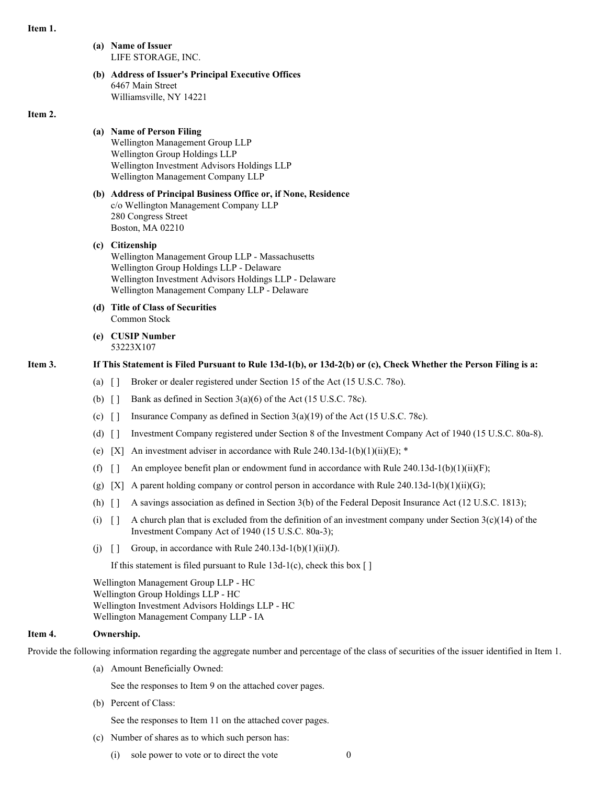#### **Item 1.**

**(a) Name of Issuer** LIFE STORAGE, INC. **(b) Address of Issuer's Principal Executive Offices** 6467 Main Street Williamsville, NY 14221

### **Item 2.**

## **(a) Name of Person Filing** Wellington Management Group LLP Wellington Group Holdings LLP Wellington Investment Advisors Holdings LLP Wellington Management Company LLP

**(b) Address of Principal Business Office or, if None, Residence** c/o Wellington Management Company LLP 280 Congress Street Boston, MA 02210

## **(c) Citizenship** Wellington Management Group LLP - Massachusetts Wellington Group Holdings LLP - Delaware Wellington Investment Advisors Holdings LLP - Delaware Wellington Management Company LLP - Delaware

- **(d) Title of Class of Securities** Common Stock
- **(e) CUSIP Number** 53223X107

## Item 3. If This Statement is Filed Pursuant to Rule 13d-1(b), or 13d-2(b) or (c), Check Whether the Person Filing is a:

- (a) [ ] Broker or dealer registered under Section 15 of the Act (15 U.S.C. 78o).
- (b)  $\begin{bmatrix} \end{bmatrix}$  Bank as defined in Section 3(a)(6) of the Act (15 U.S.C. 78c).
- (c)  $\lceil \cdot \rceil$  Insurance Company as defined in Section 3(a)(19) of the Act (15 U.S.C. 78c).
- (d) [ ] Investment Company registered under Section 8 of the Investment Company Act of 1940 (15 U.S.C. 80a-8).
- (e) [X] An investment adviser in accordance with Rule 240.13d-1(b)(1)(ii)(E);  $*$
- (f)  $\lceil \cdot \rceil$  An employee benefit plan or endowment fund in accordance with Rule 240.13d-1(b)(1)(ii)(F);
- (g) [X] A parent holding company or control person in accordance with Rule  $240.13d-1(b)(1)(ii)(G);$
- (h)  $\lceil \cdot \rceil$  A savings association as defined in Section 3(b) of the Federal Deposit Insurance Act (12 U.S.C. 1813);
- (i)  $\lceil \rceil$  A church plan that is excluded from the definition of an investment company under Section 3(c)(14) of the Investment Company Act of 1940 (15 U.S.C. 80a-3);
- (j)  $\lceil \cdot \rceil$  Group, in accordance with Rule 240.13d-1(b)(1)(ii)(J).

If this statement is filed pursuant to Rule  $13d-1(c)$ , check this box []

Wellington Management Group LLP - HC Wellington Group Holdings LLP - HC Wellington Investment Advisors Holdings LLP - HC Wellington Management Company LLP - IA

### **Item 4. Ownership.**

Provide the following information regarding the aggregate number and percentage of the class of securities of the issuer identified in Item 1.

(a) Amount Beneficially Owned:

See the responses to Item 9 on the attached cover pages.

(b) Percent of Class:

See the responses to Item 11 on the attached cover pages.

- (c) Number of shares as to which such person has:
	- $(i)$  sole power to vote or to direct the vote 0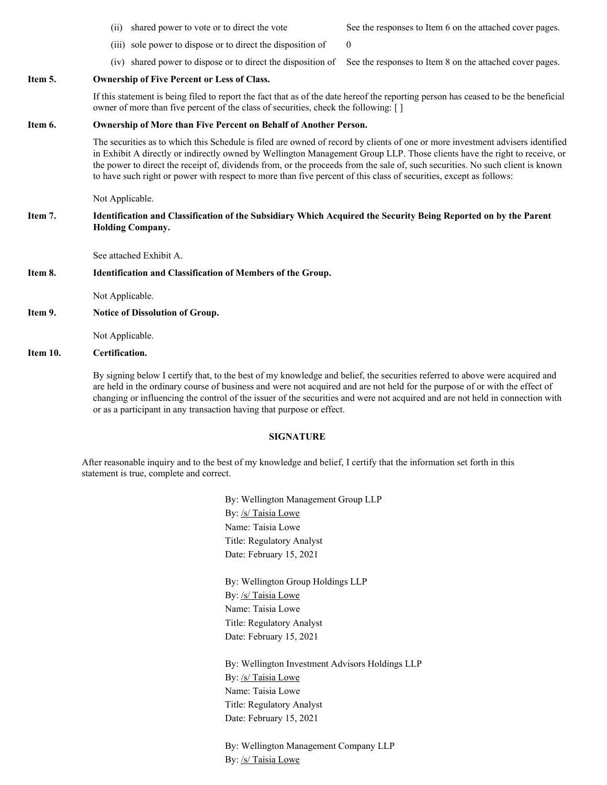(iii) sole power to dispose or to direct the disposition of  $\qquad 0$ 

(iv) shared power to dispose or to direct the disposition of See the responses to Item 8 on the attached cover pages.

### **Item 5. Ownership of Five Percent or Less of Class.**

If this statement is being filed to report the fact that as of the date hereof the reporting person has ceased to be the beneficial owner of more than five percent of the class of securities, check the following: [ ]

#### **Item 6. Ownership of More than Five Percent on Behalf of Another Person.**

The securities as to which this Schedule is filed are owned of record by clients of one or more investment advisers identified in Exhibit A directly or indirectly owned by Wellington Management Group LLP. Those clients have the right to receive, or the power to direct the receipt of, dividends from, or the proceeds from the sale of, such securities. No such client is known to have such right or power with respect to more than five percent of this class of securities, except as follows:

Not Applicable.

### Item 7. Identification and Classification of the Subsidiary Which Acquired the Security Being Reported on by the Parent **Holding Company.**

See attached Exhibit A.

### **Item 8. Identification and Classification of Members of the Group.**

Not Applicable.

**Item 9. Notice of Dissolution of Group.**

Not Applicable.

## **Item 10. Certification.**

By signing below I certify that, to the best of my knowledge and belief, the securities referred to above were acquired and are held in the ordinary course of business and were not acquired and are not held for the purpose of or with the effect of changing or influencing the control of the issuer of the securities and were not acquired and are not held in connection with or as a participant in any transaction having that purpose or effect.

#### **SIGNATURE**

After reasonable inquiry and to the best of my knowledge and belief, I certify that the information set forth in this statement is true, complete and correct.

> By: Wellington Management Group LLP By: /s/ Taisia Lowe Name: Taisia Lowe Title: Regulatory Analyst Date: February 15, 2021

By: Wellington Group Holdings LLP By: /s/ Taisia Lowe Name: Taisia Lowe Title: Regulatory Analyst Date: February 15, 2021

By: Wellington Investment Advisors Holdings LLP By: /s/ Taisia Lowe Name: Taisia Lowe Title: Regulatory Analyst Date: February 15, 2021

By: Wellington Management Company LLP By: /s/ Taisia Lowe

(ii) shared power to vote or to direct the vote See the responses to Item 6 on the attached cover pages.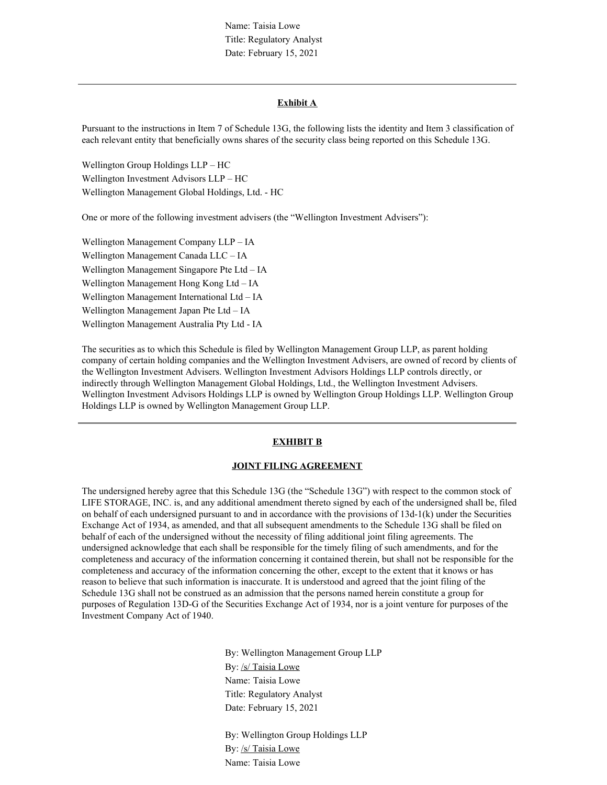Name: Taisia Lowe Title: Regulatory Analyst Date: February 15, 2021

#### **Exhibit A**

Pursuant to the instructions in Item 7 of Schedule 13G, the following lists the identity and Item 3 classification of each relevant entity that beneficially owns shares of the security class being reported on this Schedule 13G.

Wellington Group Holdings LLP – HC Wellington Investment Advisors LLP – HC Wellington Management Global Holdings, Ltd. - HC

One or more of the following investment advisers (the "Wellington Investment Advisers"):

Wellington Management Company LLP – IA Wellington Management Canada LLC – IA Wellington Management Singapore Pte Ltd – IA Wellington Management Hong Kong Ltd – IA Wellington Management International Ltd – IA Wellington Management Japan Pte Ltd – IA Wellington Management Australia Pty Ltd - IA

The securities as to which this Schedule is filed by Wellington Management Group LLP, as parent holding company of certain holding companies and the Wellington Investment Advisers, are owned of record by clients of the Wellington Investment Advisers. Wellington Investment Advisors Holdings LLP controls directly, or indirectly through Wellington Management Global Holdings, Ltd., the Wellington Investment Advisers. Wellington Investment Advisors Holdings LLP is owned by Wellington Group Holdings LLP. Wellington Group Holdings LLP is owned by Wellington Management Group LLP.

### **EXHIBIT B**

#### **JOINT FILING AGREEMENT**

The undersigned hereby agree that this Schedule 13G (the "Schedule 13G") with respect to the common stock of LIFE STORAGE, INC. is, and any additional amendment thereto signed by each of the undersigned shall be, filed on behalf of each undersigned pursuant to and in accordance with the provisions of 13d-1(k) under the Securities Exchange Act of 1934, as amended, and that all subsequent amendments to the Schedule 13G shall be filed on behalf of each of the undersigned without the necessity of filing additional joint filing agreements. The undersigned acknowledge that each shall be responsible for the timely filing of such amendments, and for the completeness and accuracy of the information concerning it contained therein, but shall not be responsible for the completeness and accuracy of the information concerning the other, except to the extent that it knows or has reason to believe that such information is inaccurate. It is understood and agreed that the joint filing of the Schedule 13G shall not be construed as an admission that the persons named herein constitute a group for purposes of Regulation 13D-G of the Securities Exchange Act of 1934, nor is a joint venture for purposes of the Investment Company Act of 1940.

> By: Wellington Management Group LLP By: /s/ Taisia Lowe Name: Taisia Lowe Title: Regulatory Analyst Date: February 15, 2021

By: Wellington Group Holdings LLP By: /s/ Taisia Lowe Name: Taisia Lowe